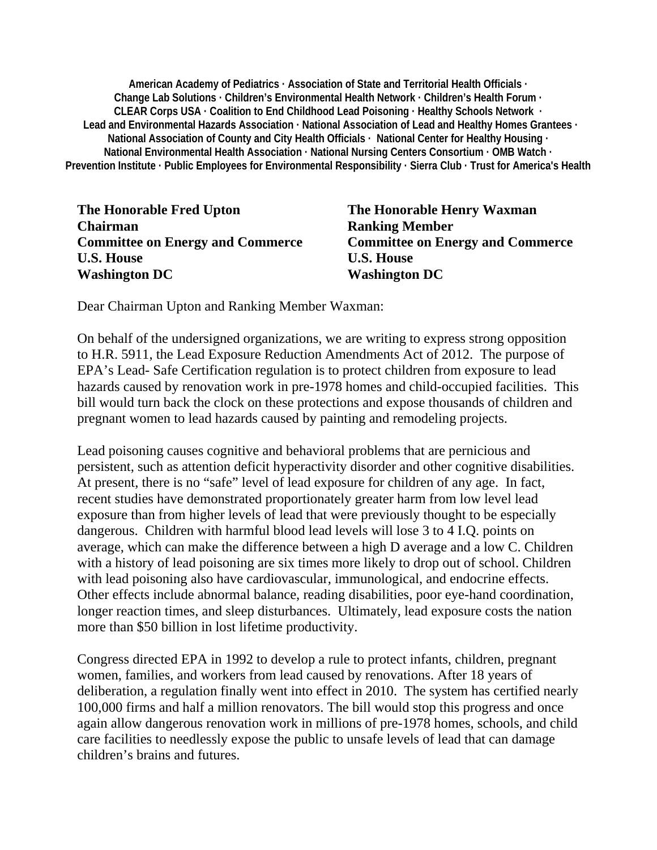**American Academy of Pediatrics · Association of State and Territorial Health Officials · Change Lab Solutions · Children's Environmental Health Network · Children's Health Forum · CLEAR Corps USA · Coalition to End Childhood Lead Poisoning · Healthy Schools Network · Lead and Environmental Hazards Association · National Association of Lead and Healthy Homes Grantees · National Association of County and City Health Officials · National Center for Healthy Housing · National Environmental Health Association · National Nursing Centers Consortium · OMB Watch · Prevention Institute · Public Employees for Environmental Responsibility · Sierra Club · Trust for America's Health** 

**The Honorable Fred Upton The Honorable Henry Waxman Chairman** Ranking Member U.S. House **U.S. House Washington DC Washington DC** 

**Committee on Energy and Commerce Committee on Energy and Commerce** 

Dear Chairman Upton and Ranking Member Waxman:

On behalf of the undersigned organizations, we are writing to express strong opposition to H.R. 5911, the Lead Exposure Reduction Amendments Act of 2012. The purpose of EPA's Lead- Safe Certification regulation is to protect children from exposure to lead hazards caused by renovation work in pre-1978 homes and child-occupied facilities. This bill would turn back the clock on these protections and expose thousands of children and pregnant women to lead hazards caused by painting and remodeling projects.

Lead poisoning causes cognitive and behavioral problems that are pernicious and persistent, such as attention deficit hyperactivity disorder and other cognitive disabilities. At present, there is no "safe" level of lead exposure for children of any age. In fact, recent studies have demonstrated proportionately greater harm from low level lead exposure than from higher levels of lead that were previously thought to be especially dangerous. Children with harmful blood lead levels will lose 3 to 4 I.Q. points on average, which can make the difference between a high D average and a low C. Children with a history of lead poisoning are six times more likely to drop out of school. Children with lead poisoning also have cardiovascular, immunological, and endocrine effects. Other effects include abnormal balance, reading disabilities, poor eye-hand coordination, longer reaction times, and sleep disturbances. Ultimately, lead exposure costs the nation more than \$50 billion in lost lifetime productivity.

Congress directed EPA in 1992 to develop a rule to protect infants, children, pregnant women, families, and workers from lead caused by renovations. After 18 years of deliberation, a regulation finally went into effect in 2010. The system has certified nearly 100,000 firms and half a million renovators. The bill would stop this progress and once again allow dangerous renovation work in millions of pre-1978 homes, schools, and child care facilities to needlessly expose the public to unsafe levels of lead that can damage children's brains and futures.